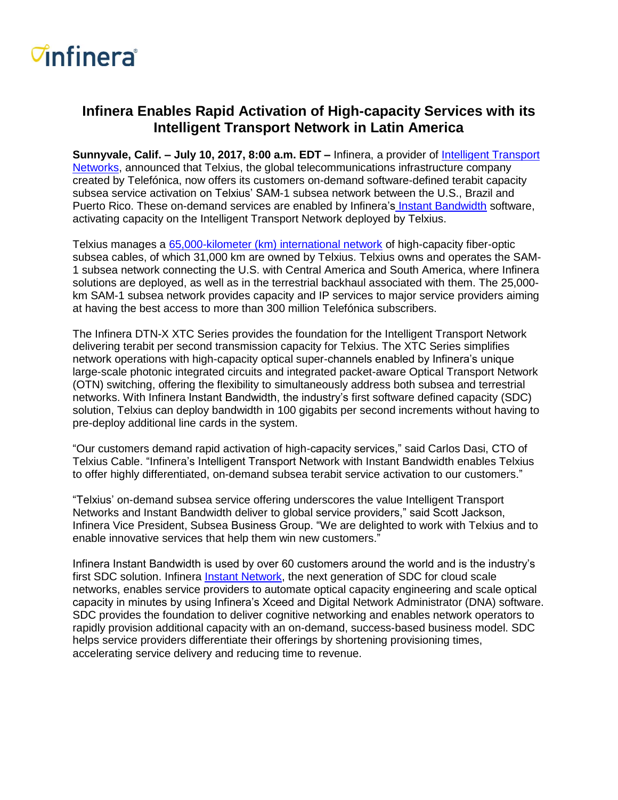## *<del>d</del>nfinera*

## **Infinera Enables Rapid Activation of High-capacity Services with its Intelligent Transport Network in Latin America**

**Sunnyvale, Calif. – July 10, 2017, 8:00 a.m. EDT** *–* Infinera, a provider of [Intelligent Transport](http://www.infinera.com/technology/intelligent-transport-network/)  [Networks,](http://www.infinera.com/technology/intelligent-transport-network/) announced that Telxius, the global telecommunications infrastructure company created by Telefónica, now offers its customers on-demand software-defined terabit capacity subsea service activation on Telxius' SAM-1 subsea network between the U.S., Brazil and Puerto Rico. These on-demand services are enabled by Infinera's [Instant Bandwidth](https://www.infinera.com/technology/instant-network/#instant-bandwidth) software, activating capacity on the Intelligent Transport Network deployed by Telxius.

Telxius manages a [65,000-kilometer \(km\) international network](https://telxius.com/en/cable/network-map/) of high-capacity fiber-optic subsea cables, of which 31,000 km are owned by Telxius. Telxius owns and operates the SAM-1 subsea network connecting the U.S. with Central America and South America, where Infinera solutions are deployed, as well as in the terrestrial backhaul associated with them. The 25,000 km SAM-1 subsea network provides capacity and IP services to major service providers aiming at having the best access to more than 300 million Telefónica subscribers.

The Infinera DTN-X XTC Series provides the foundation for the Intelligent Transport Network delivering terabit per second transmission capacity for Telxius. The XTC Series simplifies network operations with high-capacity optical super-channels enabled by Infinera's unique large-scale photonic integrated circuits and integrated packet-aware Optical Transport Network (OTN) switching, offering the flexibility to simultaneously address both subsea and terrestrial networks. With Infinera Instant Bandwidth, the industry's first software defined capacity (SDC) solution, Telxius can deploy bandwidth in 100 gigabits per second increments without having to pre-deploy additional line cards in the system.

"Our customers demand rapid activation of high-capacity services," said Carlos Dasi, CTO of Telxius Cable. "Infinera's Intelligent Transport Network with Instant Bandwidth enables Telxius to offer highly differentiated, on-demand subsea terabit service activation to our customers."

"Telxius' on-demand subsea service offering underscores the value Intelligent Transport Networks and Instant Bandwidth deliver to global service providers," said Scott Jackson, Infinera Vice President, Subsea Business Group. "We are delighted to work with Telxius and to enable innovative services that help them win new customers."

Infinera Instant Bandwidth is used by over 60 customers around the world and is the industry's first SDC solution. Infinera **Instant Network**, the next generation of SDC for cloud scale networks, enables service providers to automate optical capacity engineering and scale optical capacity in minutes by using Infinera's Xceed and Digital Network Administrator (DNA) software. SDC provides the foundation to deliver cognitive networking and enables network operators to rapidly provision additional capacity with an on-demand, success-based business model. SDC helps service providers differentiate their offerings by shortening provisioning times, accelerating service delivery and reducing time to revenue.